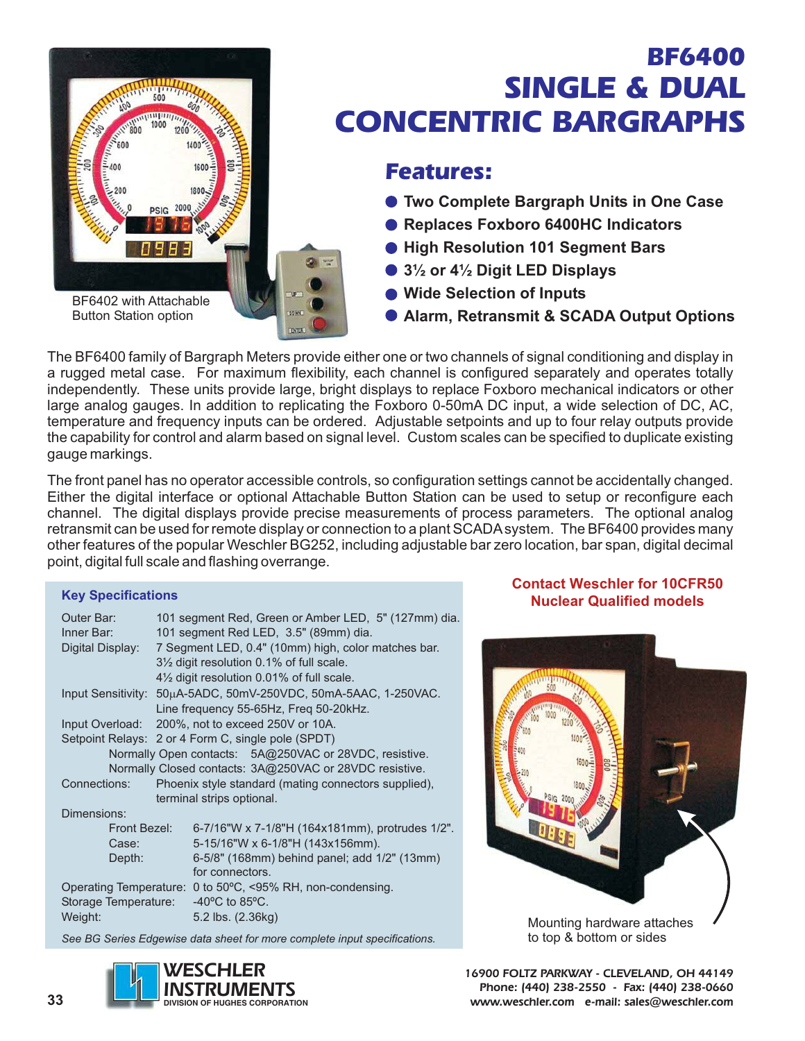

## BF6400 SINGLE & DUAL CONCENTRIC BARGRAPHS

### Features:

- **Two Complete Bargraph Units in One Case**
- **Replaces Foxboro 6400HC Indicators**
- **High Resolution 101 Segment Bars**
- **3½ or 4½ Digit LED Displays**
- **Wide Selection of Inputs**
- **Alarm, Retransmit & SCADA Output Options**

The BF6400 family of Bargraph Meters provide either one or two channels of signal conditioning and display in a rugged metal case. For maximum flexibility, each channel is configured separately and operates totally independently. These units provide large, bright displays to replace Foxboro mechanical indicators or other large analog gauges. In addition to replicating the Foxboro 0-50mA DC input, a wide selection of DC, AC, temperature and frequency inputs can be ordered. Adjustable setpoints and up to four relay outputs provide the capability for control and alarm based on signal level. Custom scales can be specified to duplicate existing gauge markings.

The front panel has no operator accessible controls, so configuration settings cannot be accidentally changed. Either the digital interface or optional Attachable Button Station can be used to setup or reconfigure each channel. The digital displays provide precise measurements of process parameters. The optional analog retransmit can be used for remote display or connection to a plant SCADA system. The BF6400 provides many other features of the popular Weschler BG252, including adjustable bar zero location, bar span, digital decimal point, digital full scale and flashing overrange.

### **Key Specifications**

| Outer Bar:                                              | 101 segment Red, Green or Amber LED, 5" (127mm) dia.            |                                                     |  |
|---------------------------------------------------------|-----------------------------------------------------------------|-----------------------------------------------------|--|
| Inner Bar:                                              |                                                                 | 101 segment Red LED, 3.5" (89mm) dia.               |  |
| Digital Display:                                        |                                                                 | 7 Segment LED, 0.4" (10mm) high, color matches bar. |  |
|                                                         |                                                                 | 31/2 digit resolution 0.1% of full scale.           |  |
|                                                         |                                                                 | 41/2 digit resolution 0.01% of full scale.          |  |
|                                                         | Input Sensitivity: 50µA-5ADC, 50mV-250VDC, 50mA-5AAC, 1-250VAC. |                                                     |  |
|                                                         |                                                                 | Line frequency 55-65Hz, Freq 50-20kHz.              |  |
| Input Overload:                                         | 200%, not to exceed 250V or 10A.                                |                                                     |  |
|                                                         | Setpoint Relays: 2 or 4 Form C, single pole (SPDT)              |                                                     |  |
| Normally Open contacts: 5A@250VAC or 28VDC, resistive.  |                                                                 |                                                     |  |
| Normally Closed contacts: 3A@250VAC or 28VDC resistive. |                                                                 |                                                     |  |
| Connections:                                            | Phoenix style standard (mating connectors supplied),            |                                                     |  |
|                                                         |                                                                 | terminal strips optional.                           |  |
| Dimensions:                                             |                                                                 |                                                     |  |
| Front Bezel:                                            |                                                                 | 6-7/16"W x 7-1/8"H (164x181mm), protrudes 1/2".     |  |
| Case:                                                   |                                                                 | 5-15/16"W x 6-1/8"H (143x156mm).                    |  |
| Depth:                                                  |                                                                 | 6-5/8" (168mm) behind panel; add 1/2" (13mm)        |  |
|                                                         |                                                                 | for connectors.                                     |  |
| <b>Operating Temperature:</b>                           |                                                                 | 0 to 50°C, <95% RH, non-condensing.                 |  |
| Storage Temperature:                                    |                                                                 | $-40^{\circ}$ C to 85 $^{\circ}$ C.                 |  |
| Weight:                                                 |                                                                 | 5.2 lbs. (2.36kg)                                   |  |
|                                                         |                                                                 |                                                     |  |

*See BG Series Edgewise data sheet for more complete input specifications.*



### **Contact Weschler for 10CFR50 Nuclear Qualified models**



**16900 FOLTZ PARKWAY - CLEVELAND, OH 44149**

**Phone: (440) 238-2550 - Fax: (440) 238-0660 www.weschler.com e-mail: sales@weschler.com**